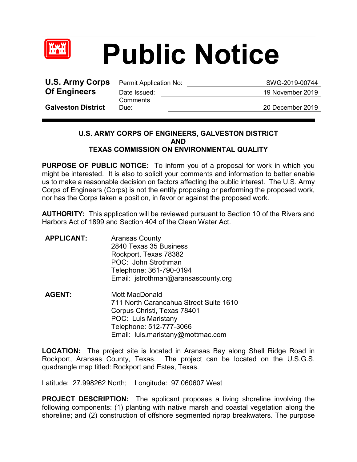

## **Public Notice**

**U.S. Army Corps** Permit Application No: SWG-2019-00744 **Of Engineers** Date Issued: 19 November 2019

**Comments** 

**Galveston District**

Due: 20 December 2019

## **U.S. ARMY CORPS OF ENGINEERS, GALVESTON DISTRICT AND TEXAS COMMISSION ON ENVIRONMENTAL QUALITY**

**PURPOSE OF PUBLIC NOTICE:** To inform you of a proposal for work in which you might be interested. It is also to solicit your comments and information to better enable us to make a reasonable decision on factors affecting the public interest. The U.S. Army Corps of Engineers (Corps) is not the entity proposing or performing the proposed work, nor has the Corps taken a position, in favor or against the proposed work.

**AUTHORITY:** This application will be reviewed pursuant to Section 10 of the Rivers and Harbors Act of 1899 and Section 404 of the Clean Water Act.

| <b>APPLICANT:</b> | <b>Aransas County</b>               |
|-------------------|-------------------------------------|
|                   | 2840 Texas 35 Business              |
|                   | Rockport, Texas 78382               |
|                   | POC: John Strothman                 |
|                   | Telephone: 361-790-0194             |
|                   | Email: jstrothman@aransascounty.org |

**AGENT:** Mott MacDonald 711 North Carancahua Street Suite 1610 Corpus Christi, Texas 78401 POC: Luis Maristany Telephone: 512-777-3066 Email: luis.maristany@mottmac.com

**LOCATION:** The project site is located in Aransas Bay along Shell Ridge Road in Rockport, Aransas County, Texas. The project can be located on the U.S.G.S. quadrangle map titled: Rockport and Estes, Texas.

Latitude: 27.998262 North; Longitude: 97.060607 West

**PROJECT DESCRIPTION:** The applicant proposes a living shoreline involving the following components: (1) planting with native marsh and coastal vegetation along the shoreline; and (2) construction of offshore segmented riprap breakwaters. The purpose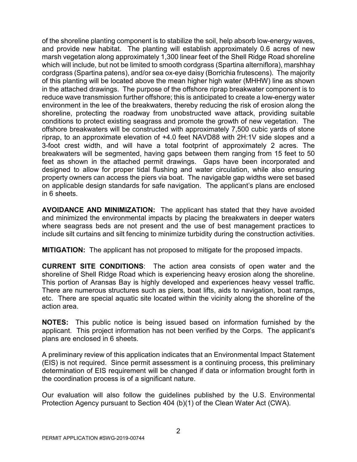of the shoreline planting component is to stabilize the soil, help absorb low-energy waves, and provide new habitat. The planting will establish approximately 0.6 acres of new marsh vegetation along approximately 1,300 linear feet of the Shell Ridge Road shoreline which will include, but not be limited to smooth cordgrass (Spartina alterniflora), marshhay cordgrass (Spartina patens), and/or sea ox-eye daisy (Borrichia frutescens). The majority of this planting will be located above the mean higher high water (MHHW) line as shown in the attached drawings. The purpose of the offshore riprap breakwater component is to reduce wave transmission further offshore; this is anticipated to create a low-energy water environment in the lee of the breakwaters, thereby reducing the risk of erosion along the shoreline, protecting the roadway from unobstructed wave attack, providing suitable conditions to protect existing seagrass and promote the growth of new vegetation. The offshore breakwaters will be constructed with approximately 7,500 cubic yards of stone riprap, to an approximate elevation of +4.0 feet NAVD88 with 2H:1V side slopes and a 3-foot crest width, and will have a total footprint of approximately 2 acres. The breakwaters will be segmented, having gaps between them ranging from 15 feet to 50 feet as shown in the attached permit drawings. Gaps have been incorporated and designed to allow for proper tidal flushing and water circulation, while also ensuring property owners can access the piers via boat. The navigable gap widths were set based on applicable design standards for safe navigation. The applicant's plans are enclosed in 6 sheets.

**AVOIDANCE AND MINIMIZATION:** The applicant has stated that they have avoided and minimized the environmental impacts by placing the breakwaters in deeper waters where seagrass beds are not present and the use of best management practices to include silt curtains and silt fencing to minimize turbidity during the construction activities.

**MITIGATION:** The applicant has not proposed to mitigate for the proposed impacts.

**CURRENT SITE CONDITIONS**: The action area consists of open water and the shoreline of Shell Ridge Road which is experiencing heavy erosion along the shoreline. This portion of Aransas Bay is highly developed and experiences heavy vessel traffic. There are numerous structures such as piers, boat lifts, aids to navigation, boat ramps, etc. There are special aquatic site located within the vicinity along the shoreline of the action area.

**NOTES:** This public notice is being issued based on information furnished by the applicant. This project information has not been verified by the Corps. The applicant's plans are enclosed in 6 sheets.

A preliminary review of this application indicates that an Environmental Impact Statement (EIS) is not required. Since permit assessment is a continuing process, this preliminary determination of EIS requirement will be changed if data or information brought forth in the coordination process is of a significant nature.

Our evaluation will also follow the guidelines published by the U.S. Environmental Protection Agency pursuant to Section 404 (b)(1) of the Clean Water Act (CWA).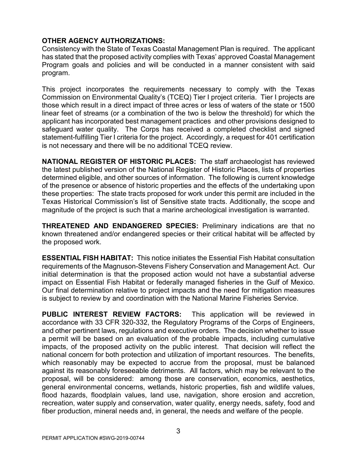## **OTHER AGENCY AUTHORIZATIONS:**

Consistency with the State of Texas Coastal Management Plan is required. The applicant has stated that the proposed activity complies with Texas' approved Coastal Management Program goals and policies and will be conducted in a manner consistent with said program.

This project incorporates the requirements necessary to comply with the Texas Commission on Environmental Quality's (TCEQ) Tier I project criteria. Tier I projects are those which result in a direct impact of three acres or less of waters of the state or 1500 linear feet of streams (or a combination of the two is below the threshold) for which the applicant has incorporated best management practices and other provisions designed to safeguard water quality. The Corps has received a completed checklist and signed statement-fulfilling Tier I criteria for the project. Accordingly, a request for 401 certification is not necessary and there will be no additional TCEQ review.

**NATIONAL REGISTER OF HISTORIC PLACES:** The staff archaeologist has reviewed the latest published version of the National Register of Historic Places, lists of properties determined eligible, and other sources of information. The following is current knowledge of the presence or absence of historic properties and the effects of the undertaking upon these properties: The state tracts proposed for work under this permit are included in the Texas Historical Commission's list of Sensitive state tracts. Additionally, the scope and magnitude of the project is such that a marine archeological investigation is warranted.

**THREATENED AND ENDANGERED SPECIES:** Preliminary indications are that no known threatened and/or endangered species or their critical habitat will be affected by the proposed work.

**ESSENTIAL FISH HABITAT:** This notice initiates the Essential Fish Habitat consultation requirements of the Magnuson-Stevens Fishery Conservation and Management Act. Our initial determination is that the proposed action would not have a substantial adverse impact on Essential Fish Habitat or federally managed fisheries in the Gulf of Mexico. Our final determination relative to project impacts and the need for mitigation measures is subject to review by and coordination with the National Marine Fisheries Service.

**PUBLIC INTEREST REVIEW FACTORS:** This application will be reviewed in accordance with 33 CFR 320-332, the Regulatory Programs of the Corps of Engineers, and other pertinent laws, regulations and executive orders. The decision whether to issue a permit will be based on an evaluation of the probable impacts, including cumulative impacts, of the proposed activity on the public interest. That decision will reflect the national concern for both protection and utilization of important resources. The benefits, which reasonably may be expected to accrue from the proposal, must be balanced against its reasonably foreseeable detriments. All factors, which may be relevant to the proposal, will be considered: among those are conservation, economics, aesthetics, general environmental concerns, wetlands, historic properties, fish and wildlife values, flood hazards, floodplain values, land use, navigation, shore erosion and accretion, recreation, water supply and conservation, water quality, energy needs, safety, food and fiber production, mineral needs and, in general, the needs and welfare of the people.